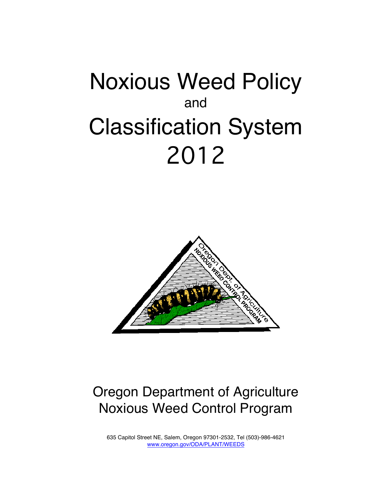# Noxious Weed Policy and Classification System 2012



# Oregon Department of Agriculture Noxious Weed Control Program

635 Capitol Street NE, Salem, Oregon 97301-2532, Tel (503)-986-4621 www.oregon.gov/ODA/PLANT/WEEDS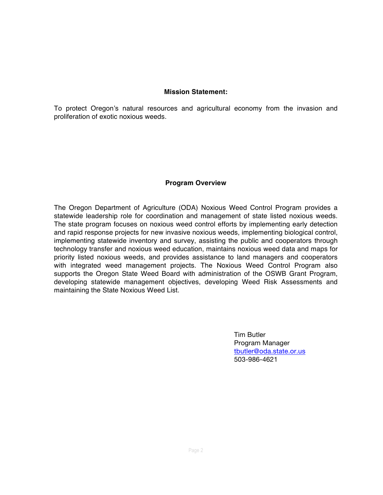#### **Mission Statement:**

To protect Oregon's natural resources and agricultural economy from the invasion and proliferation of exotic noxious weeds.

#### **Program Overview**

The Oregon Department of Agriculture (ODA) Noxious Weed Control Program provides a statewide leadership role for coordination and management of state listed noxious weeds. The state program focuses on noxious weed control efforts by implementing early detection and rapid response projects for new invasive noxious weeds, implementing biological control, implementing statewide inventory and survey, assisting the public and cooperators through technology transfer and noxious weed education, maintains noxious weed data and maps for priority listed noxious weeds, and provides assistance to land managers and cooperators with integrated weed management projects. The Noxious Weed Control Program also supports the Oregon State Weed Board with administration of the OSWB Grant Program, developing statewide management objectives, developing Weed Risk Assessments and maintaining the State Noxious Weed List.

> Tim Butler Program Manager tbutler@oda.state.or.us 503-986-4621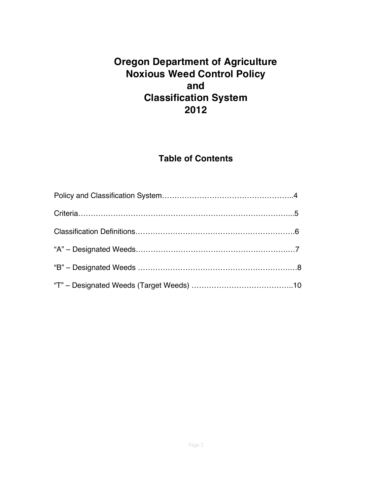# **Oregon Department of Agriculture Noxious Weed Control Policy and Classification System 2012**

# **Table of Contents**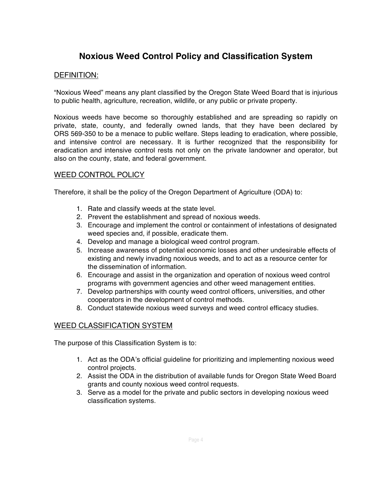# **Noxious Weed Control Policy and Classification System**

#### DEFINITION:

"Noxious Weed" means any plant classified by the Oregon State Weed Board that is injurious to public health, agriculture, recreation, wildlife, or any public or private property.

Noxious weeds have become so thoroughly established and are spreading so rapidly on private, state, county, and federally owned lands, that they have been declared by ORS 569-350 to be a menace to public welfare. Steps leading to eradication, where possible, and intensive control are necessary. It is further recognized that the responsibility for eradication and intensive control rests not only on the private landowner and operator, but also on the county, state, and federal government.

#### WEED CONTROL POLICY

Therefore, it shall be the policy of the Oregon Department of Agriculture (ODA) to:

- 1. Rate and classify weeds at the state level.
- 2. Prevent the establishment and spread of noxious weeds.
- 3. Encourage and implement the control or containment of infestations of designated weed species and, if possible, eradicate them.
- 4. Develop and manage a biological weed control program.
- 5. Increase awareness of potential economic losses and other undesirable effects of existing and newly invading noxious weeds, and to act as a resource center for the dissemination of information.
- 6. Encourage and assist in the organization and operation of noxious weed control programs with government agencies and other weed management entities.
- 7. Develop partnerships with county weed control officers, universities, and other cooperators in the development of control methods.
- 8. Conduct statewide noxious weed surveys and weed control efficacy studies.

#### WEED CLASSIFICATION SYSTEM

The purpose of this Classification System is to:

- 1. Act as the ODA's official guideline for prioritizing and implementing noxious weed control projects.
- 2. Assist the ODA in the distribution of available funds for Oregon State Weed Board grants and county noxious weed control requests.
- 3. Serve as a model for the private and public sectors in developing noxious weed classification systems.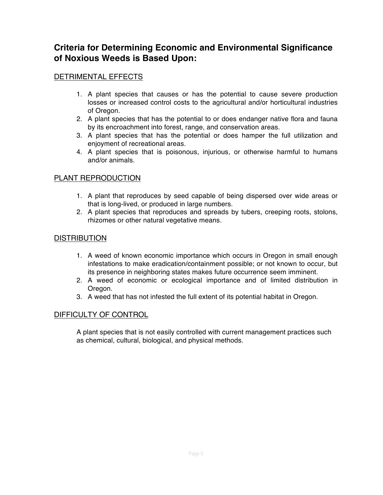### **Criteria for Determining Economic and Environmental Significance of Noxious Weeds is Based Upon:**

#### DETRIMENTAL EFFECTS

- 1. A plant species that causes or has the potential to cause severe production losses or increased control costs to the agricultural and/or horticultural industries of Oregon.
- 2. A plant species that has the potential to or does endanger native flora and fauna by its encroachment into forest, range, and conservation areas.
- 3. A plant species that has the potential or does hamper the full utilization and enjoyment of recreational areas.
- 4. A plant species that is poisonous, injurious, or otherwise harmful to humans and/or animals.

#### PLANT REPRODUCTION

- 1. A plant that reproduces by seed capable of being dispersed over wide areas or that is long-lived, or produced in large numbers.
- 2. A plant species that reproduces and spreads by tubers, creeping roots, stolons, rhizomes or other natural vegetative means.

#### **DISTRIBUTION**

- 1. A weed of known economic importance which occurs in Oregon in small enough infestations to make eradication/containment possible; or not known to occur, but its presence in neighboring states makes future occurrence seem imminent.
- 2. A weed of economic or ecological importance and of limited distribution in Oregon.
- 3. A weed that has not infested the full extent of its potential habitat in Oregon.

#### DIFFICULTY OF CONTROL

A plant species that is not easily controlled with current management practices such as chemical, cultural, biological, and physical methods.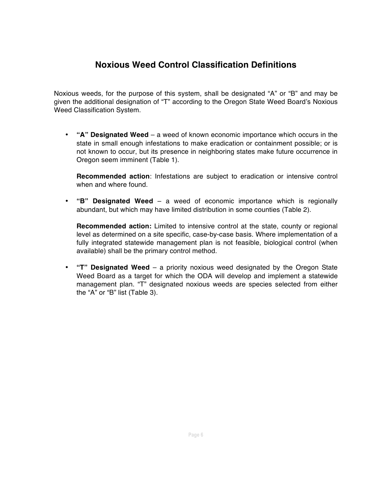# **Noxious Weed Control Classification Definitions**

Noxious weeds, for the purpose of this system, shall be designated "A" or "B" and may be given the additional designation of "T" according to the Oregon State Weed Board's Noxious Weed Classification System.

• **"A" Designated Weed** – a weed of known economic importance which occurs in the state in small enough infestations to make eradication or containment possible; or is not known to occur, but its presence in neighboring states make future occurrence in Oregon seem imminent (Table 1).

**Recommended action**: Infestations are subject to eradication or intensive control when and where found.

• **"B" Designated Weed** – a weed of economic importance which is regionally abundant, but which may have limited distribution in some counties (Table 2).

**Recommended action:** Limited to intensive control at the state, county or regional level as determined on a site specific, case-by-case basis. Where implementation of a fully integrated statewide management plan is not feasible, biological control (when available) shall be the primary control method.

• **"T" Designated Weed** – a priority noxious weed designated by the Oregon State Weed Board as a target for which the ODA will develop and implement a statewide management plan. "T" designated noxious weeds are species selected from either the "A" or "B" list (Table 3).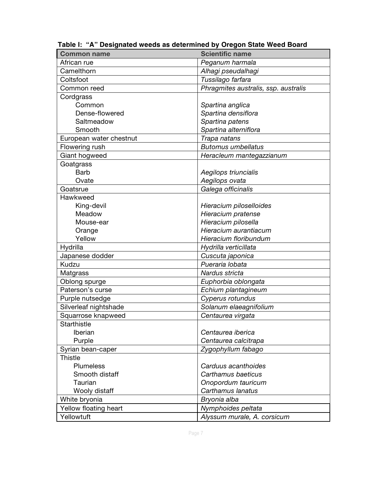| <b>Common name</b>      | <b>Scientific name</b>               |
|-------------------------|--------------------------------------|
| African rue             | Peganum harmala                      |
| Camelthorn              | Alhagi pseudalhagi                   |
| Coltsfoot               | Tussilago farfara                    |
| Common reed             | Phragmites australis, ssp. australis |
| Cordgrass               |                                      |
| Common                  | Spartina anglica                     |
| Dense-flowered          | Spartina densiflora                  |
| Saltmeadow              | Spartina patens                      |
| Smooth                  | Spartina alterniflora                |
| European water chestnut | Trapa natans                         |
| Flowering rush          | <b>Butomus umbellatus</b>            |
| Giant hogweed           | Heracleum mantegazzianum             |
| Goatgrass               |                                      |
| <b>Barb</b>             | Aegilops triuncialis                 |
| Ovate                   | Aegilops ovata                       |
| Goatsrue                | Galega officinalis                   |
| Hawkweed                |                                      |
| King-devil              | Hieracium piloselloides              |
| Meadow                  | Hieracium pratense                   |
| Mouse-ear               | Hieracium pilosella                  |
| Orange                  | Hieracium aurantiacum                |
| Yellow                  | Hieracium floribundum                |
| Hydrilla                | Hydrilla verticillata                |
| Japanese dodder         | Cuscuta japonica                     |
| Kudzu                   | Pueraria lobata                      |
| Matgrass                | Nardus stricta                       |
| Oblong spurge           | Euphorbia oblongata                  |
| Paterson's curse        | Echium plantagineum                  |
| Purple nutsedge         | Cyperus rotundus                     |
| Silverleaf nightshade   | Solanum elaeagnifolium               |
| Squarrose knapweed      | Centaurea virgata                    |
| Starthistle             |                                      |
| Iberian                 | Centaurea iberica                    |
| Purple                  | Centaurea calcitrapa                 |
| Syrian bean-caper       | Zygophyllum fabago                   |
| <b>Thistle</b>          |                                      |
| Plumeless               | Carduus acanthoides                  |
| Smooth distaff          | Carthamus baeticus                   |
| Taurian                 | Onopordum tauricum                   |
| Wooly distaff           | Carthamus lanatus                    |
| White bryonia           | Bryonia alba                         |
| Yellow floating heart   | Nymphoides peltata                   |
| Yellowtuft              | Alyssum murale, A. corsicum          |

 **Table I: "A" Designated weeds as determined by Oregon State Weed Board**

Page 7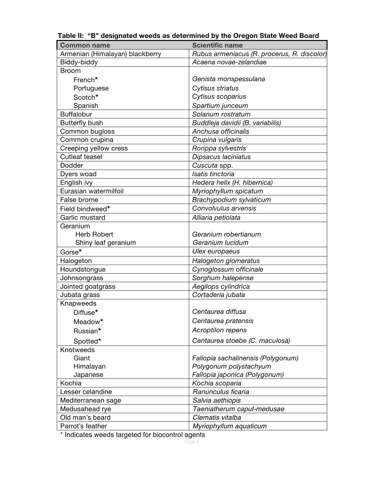| <b>Common name</b>              | <b>Scientific name</b>                      |
|---------------------------------|---------------------------------------------|
| Armenian (Himalayan) blackberry | Rubus armeniacus (R. procerus, R. discolor) |
| Biddy-biddy                     | Acaena novae-zelandiae                      |
| <b>Broom</b>                    |                                             |
| French*                         | Genista monspessulana                       |
| Portuguese                      | Cytisus striatus                            |
| Scotch*                         | Cytisus scoparius                           |
| Spanish                         | Spartium junceum                            |
| <b>Buffalobur</b>               | Solanum rostratum                           |
| <b>Butterfly bush</b>           | Buddleja davidii (B. variabilis)            |
| Common bugloss                  | Anchusa officinalis                         |
| Common crupina                  | Crupina vulgaris                            |
| Creeping yellow cress           | Rorippa sylvestris                          |
| Cutleaf teasel                  | Dipsacus laciniatus                         |
| Dodder                          | Cuscuta spp.                                |
| Dyers woad                      | Isatis tinctoria                            |
| English ivy                     | Hedera helix (H. hibernica)                 |
| Eurasian watermilfoil           | Myriophyllum spicatum                       |
| False brome                     | Brachypodium sylvaticum                     |
| Field bindweed*                 | Convolvulus arvensis                        |
| Garlic mustard                  | Alliaria petiolata                          |
| Geranium                        |                                             |
| <b>Herb Robert</b>              | Geranium robertianum                        |
| Shiny leaf geranium             | Geranium lucidum                            |
| Gorse*                          | Ulex europaeus                              |
| Halogeton                       | Halogeton glomeratus                        |
| Houndstongue                    | Cynoglossum officinale                      |
| Johnsongrass                    | Sorghum halepense                           |
| Jointed goatgrass               | Aegilops cylindrica                         |
| Jubata grass                    | Cortaderia jubata                           |
| Knapweeds                       |                                             |
| Diffuse*                        | Centaurea diffusa                           |
| Meadow*                         | Centaurea pratensis                         |
| Russian*                        | Acroptilon repens                           |
| Spotted*                        | Centaurea stoebe (C. maculosa)              |
| Knotweeds                       |                                             |
| Giant                           | Fallopia sachalinensis (Polygonum)          |
| Himalayan                       | Polygonum polystachyum                      |
| Japanese                        | Fallopia japonica (Polygonum)               |
| Kochia                          | Kochia scoparia                             |
| Lesser celandine                | Ranunculus ficaria                          |
| Mediterranean sage              | Salvia aethiopis                            |
| Medusahead rye                  | Taeniatherum caput-medusae                  |
| Old man's beard                 | Clematis vitalba                            |
| Parrot's feather                | Myriophyllum aquaticum                      |

 **Table II: "B" designated weeds as determined by the Oregon State Weed Board**

\* Indicates weeds targeted for biocontrol agents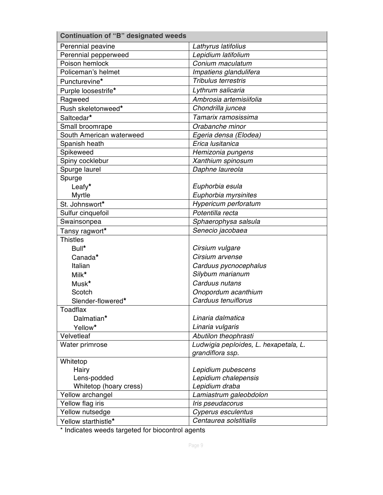| <b>Continuation of "B" designated weeds</b> |                                       |
|---------------------------------------------|---------------------------------------|
| Perennial peavine                           | Lathyrus latifolius                   |
| Perennial pepperweed                        | Lepidium latifolium                   |
| Poison hemlock                              | Conium maculatum                      |
| Policeman's helmet                          | Impatiens glandulifera                |
| Puncturevine*                               | Tribulus terrestris                   |
| Purple loosestrife*                         | Lythrum salicaria                     |
| Ragweed                                     | Ambrosia artemisiifolia               |
| Rush skeletonweed*                          | Chondrilla juncea                     |
| Saltcedar*                                  | Tamarix ramosissima                   |
| Small broomrape                             | Orabanche minor                       |
| South American waterweed                    | Egeria densa (Elodea)                 |
| Spanish heath                               | Erica lusitanica                      |
| Spikeweed                                   | Hemizonia pungens                     |
| Spiny cocklebur                             | Xanthium spinosum                     |
| Spurge laurel                               | Daphne laureola                       |
| Spurge                                      |                                       |
| Leafy*                                      | Euphorbia esula                       |
| Myrtle                                      | Euphorbia myrsinites                  |
| St. Johnswort*                              | Hypericum perforatum                  |
| Sulfur cinquefoil                           | Potentilla recta                      |
| Swainsonpea                                 | Sphaerophysa salsula                  |
| Tansy ragwort*                              | Senecio jacobaea                      |
| <b>Thistles</b>                             |                                       |
| Bull*                                       | Cirsium vulgare                       |
| Canada*                                     | Cirsium arvense                       |
| Italian                                     | Carduus pycnocephalus                 |
| Milk*                                       | Silybum marianum                      |
| Musk*                                       | Carduus nutans                        |
| Scotch                                      | Onopordum acanthium                   |
| Slender-flowered*                           | Carduus tenuiflorus                   |
| Toadflax                                    |                                       |
| Dalmatian*                                  | Linaria dalmatica                     |
| Yellow*                                     | Linaria vulgaris                      |
| Velvetleaf                                  | Abutilon theophrasti                  |
| Water primrose                              | Ludwigia peploides, L. hexapetala, L. |
|                                             | grandiflora ssp.                      |
| Whitetop                                    |                                       |
| Hairy                                       | Lepidium pubescens                    |
| Lens-podded                                 | Lepidium chalepensis                  |
| Whitetop (hoary cress)                      | Lepidium draba                        |
| Yellow archangel                            | Lamiastrum galeobdolon                |
| Yellow flag iris                            | Iris pseudacorus                      |
| Yellow nutsedge                             | Cyperus esculentus                    |
| Yellow starthistle*                         | Centaurea solstitialis                |

\* Indicates weeds targeted for biocontrol agents